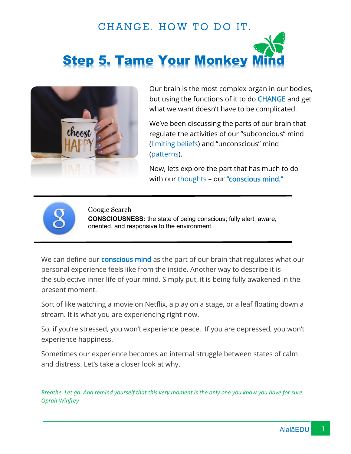# CHANGE. HOW TO DO IT. **Step 5. Tame Your Monkey**



Our brain is the most complex organ in our bodies, but using the functions of it to do CHANGE and get what we want doesn't have to be complicated.

We've been discussing the parts of our brain that regulate the activities of our "subconcious" mind (limiting beliefs) and "unconscious" mind (patterns).

Now, lets explore the part that has much to do with our thoughts - our "conscious mind."



Google Search

**CONSCIOUSNESS:** the state of being conscious; fully alert, aware, oriented, and responsive to the environment.

We can define our **conscious mind** as the part of our brain that regulates what our personal experience feels like from the inside. Another way to describe it is the subjective inner life of your mind. Simply put, it is being fully awakened in the present moment.

Sort of like watching a movie on Netflix, a play on a stage, or a leaf floating down a stream. It is what you are experiencing right now.

So, if you're stressed, you won't experience peace. If you are depressed, you won't experience happiness.

Sometimes our experience becomes an internal struggle between states of calm and distress. Let's take a closer look at why.

*Breathe. Let go. And remind yourself that this very moment is the only one you know you have for sure. Oprah Winfrey*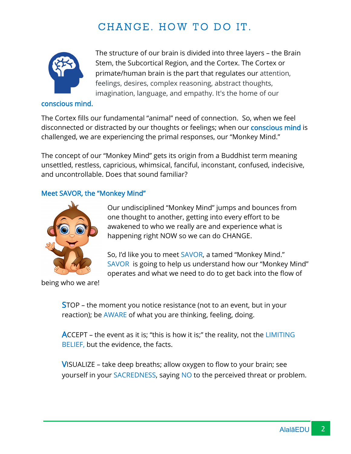## CHANGE. HOW TO DO IT.



The structure of our brain is divided into three layers – the Brain Stem, the Subcortical Region, and the Cortex. The Cortex or primate/human brain is the part that regulates our attention, feelings, desires, complex reasoning, abstract thoughts, imagination, language, and empathy. It's the home of our

#### conscious mind.

The Cortex fills our fundamental "animal" need of connection. So, when we feel disconnected or distracted by our thoughts or feelings; when our **conscious mind** is challenged, we are experiencing the primal responses, our "Monkey Mind."

The concept of our "Monkey Mind" gets its origin from a Buddhist term meaning unsettled, restless, capricious, whimsical, fanciful, inconstant, confused, indecisive, and uncontrollable. Does that sound familiar?

#### Meet SAVOR, the "Monkey Mind"



Our undisciplined "Monkey Mind" jumps and bounces from one thought to another, getting into every effort to be awakened to who we really are and experience what is happening right NOW so we can do CHANGE.

So, I'd like you to meet SAVOR, a tamed "Monkey Mind." SAVOR is going to help us understand how our "Monkey Mind" operates and what we need to do to get back into the flow of

being who we are!

STOP – the moment you notice resistance (not to an event, but in your reaction); be AWARE of what you are thinking, feeling, doing.

ACCEPT – the event as it is; "this is how it is;" the reality, not the LIMITING BELIEF, but the evidence, the facts.

VISUALIZE – take deep breaths; allow oxygen to flow to your brain; see yourself in your SACREDNESS, saying NO to the perceived threat or problem.